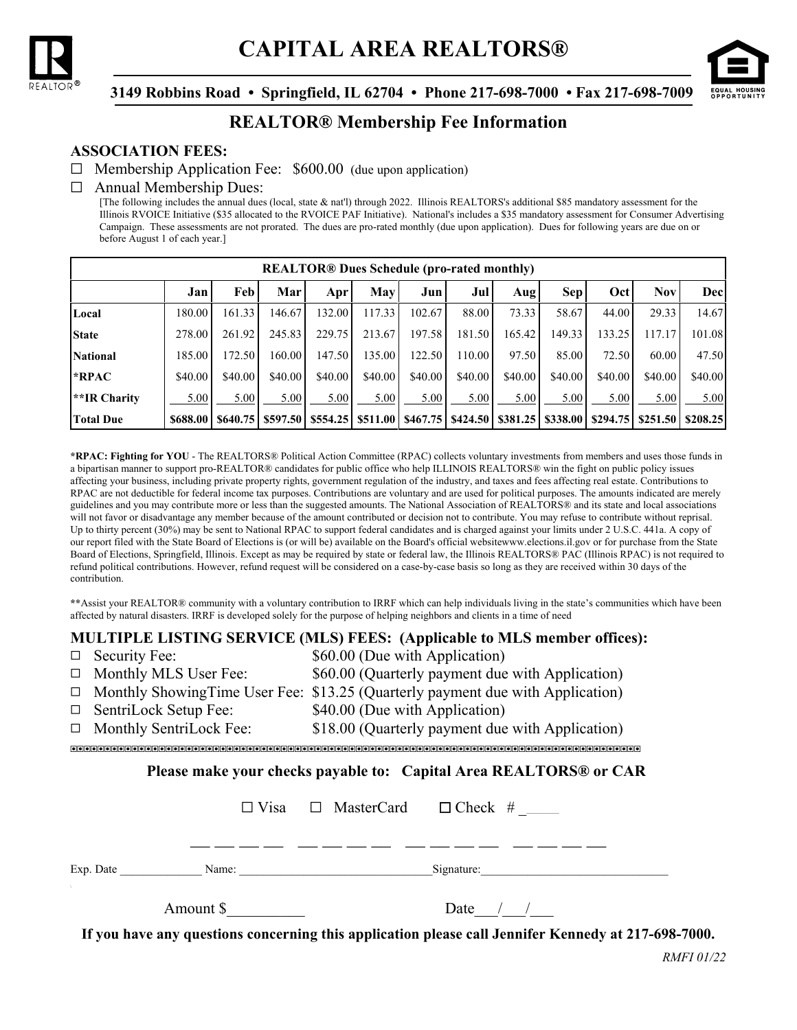



 **3149 Robbins Road • Springfield, IL 62704 • Phone 217-698-7000 • Fax 217-698-7009**

# **REALTOR® Membership Fee Information**

# **ASSOCIATION FEES:**

 $\Box$  Membership Application Fee: \$600.00 (due upon application)

#### $\Box$  Annual Membership Dues:

[The following includes the annual dues (local, state & nat'l) through 2022. Illinois REALTORS's additional \$85 mandatory assessment for the Illinois RVOICE Initiative (\$35 allocated to the RVOICE PAF Initiative). National's includes a \$35 mandatory assessment for Consumer Advertising Campaign. These assessments are not prorated. The dues are pro-rated monthly (due upon application). Dues for following years are due on or before August 1 of each year.]

| <b>REALTOR®</b> Dues Schedule (pro-rated monthly) |          |         |                             |         |                      |         |                                                       |         |            |          |            |          |
|---------------------------------------------------|----------|---------|-----------------------------|---------|----------------------|---------|-------------------------------------------------------|---------|------------|----------|------------|----------|
|                                                   | Jan      | Feb     | Mar                         | Apr     | <b>May</b>           | Jun     | Jul                                                   | Aug     | <b>Sep</b> | Oct      | <b>Nov</b> | Decl     |
| Local                                             | 180.00   | 161.33  | 146.67                      | 132.00  | 117.33               | 102.67  | 88.00                                                 | 73.33   | 58.67      | 44.00    | 29.33      | 14.67    |
| <b>State</b>                                      | 278.00   | 261.92  | 245.83                      | 229.75  | 213.67               | 197.58  | 181.50                                                | 165.42  | 149.33     | 133.25   | 117.17     | 101.08   |
| <b>National</b>                                   | 185.00   | 172.50  | 160.00                      | 147.50  | 135.00               | 122.50  | 110.00                                                | 97.50   | 85.00      | 72.50    | 60.00      | 47.50    |
| *RPAC                                             | \$40.00  | \$40.00 | \$40.00                     | \$40.00 | \$40.00              | \$40.00 | \$40.00                                               | \$40.00 | \$40.00    | \$40.00  | \$40.00    | \$40.00  |
| **IR Charity                                      | 5.00     | 5.00    | 5.00                        | 5.00    | 5.00                 | 5.00    | 5.00                                                  | 5.00    | 5.00       | 5.00     | 5.00       | 5.00     |
| <b>Total Due</b>                                  | \$688.00 |         | $$640.75 \mid $597.50 \mid$ |         | \$554.25 \, \$511.00 |         | $$467.75 \mid $424.50 \mid $381.25 \mid $338.00 \mid$ |         |            | \$294.75 | \$251.50   | \$208.25 |

**\*RPAC: Fighting for YOU** - The REALTORS® Political Action Committee (RPAC) collects voluntary investments from members and uses those funds in a bipartisan manner to support pro-REALTOR® candidates for public office who help ILLINOIS REALTORS® win the fight on public policy issues affecting your business, including private property rights, government regulation of the industry, and taxes and fees affecting real estate. Contributions to RPAC are not deductible for federal income tax purposes. Contributions are voluntary and are used for political purposes. The amounts indicated are merely guidelines and you may contribute more or less than the suggested amounts. The National Association of REALTORS® and its state and local associations will not favor or disadvantage any member because of the amount contributed or decision not to contribute. You may refuse to contribute without reprisal. Up to thirty percent (30%) may be sent to National RPAC to support federal candidates and is charged against your limits under 2 U.S.C. 441a. A copy of our report filed with the State Board of Elections is (or will be) available on the Board's official websitewww.elections.il.gov or for purchase from the State Board of Elections, Springfield, Illinois. Except as may be required by state or federal law, the Illinois REALTORS® PAC (Illinois RPAC) is not required to refund political contributions. However, refund request will be considered on a case-by-case basis so long as they are received within 30 days of the contribution.

**\*\***Assist your REALTOR® community with a voluntary contribution to IRRF which can help individuals living in the state's communities which have been affected by natural disasters. IRRF is developed solely for the purpose of helping neighbors and clients in a time of need

# **MULTIPLE LISTING SERVICE (MLS) FEES: (Applicable to MLS member offices):**

|                                                                                                     | $\Box$ Security Fee:                                              | \$60.00 (Due with Application)                                                         |  |  |  |  |  |  |
|-----------------------------------------------------------------------------------------------------|-------------------------------------------------------------------|----------------------------------------------------------------------------------------|--|--|--|--|--|--|
|                                                                                                     | $\Box$ Monthly MLS User Fee:                                      | \$60.00 (Quarterly payment due with Application)                                       |  |  |  |  |  |  |
|                                                                                                     |                                                                   | $\Box$ Monthly Showing Time User Fee: \$13.25 (Quarterly payment due with Application) |  |  |  |  |  |  |
|                                                                                                     | $\Box$ SentriLock Setup Fee:                                      | \$40.00 (Due with Application)                                                         |  |  |  |  |  |  |
|                                                                                                     | $\Box$ Monthly SentriLock Fee:                                    | \$18.00 (Quarterly payment due with Application)                                       |  |  |  |  |  |  |
|                                                                                                     |                                                                   |                                                                                        |  |  |  |  |  |  |
|                                                                                                     | Please make your checks payable to: Capital Area REALTORS® or CAR |                                                                                        |  |  |  |  |  |  |
|                                                                                                     |                                                                   | $\Box$ Visa $\Box$ MasterCard $\Box$ Check #                                           |  |  |  |  |  |  |
|                                                                                                     |                                                                   |                                                                                        |  |  |  |  |  |  |
|                                                                                                     |                                                                   |                                                                                        |  |  |  |  |  |  |
|                                                                                                     |                                                                   |                                                                                        |  |  |  |  |  |  |
|                                                                                                     | Amount $\frac{1}{2}$                                              | Date $/$ /                                                                             |  |  |  |  |  |  |
| If you have any questions concerning this application please call Jennifer Kennedy at 217-698-7000. |                                                                   |                                                                                        |  |  |  |  |  |  |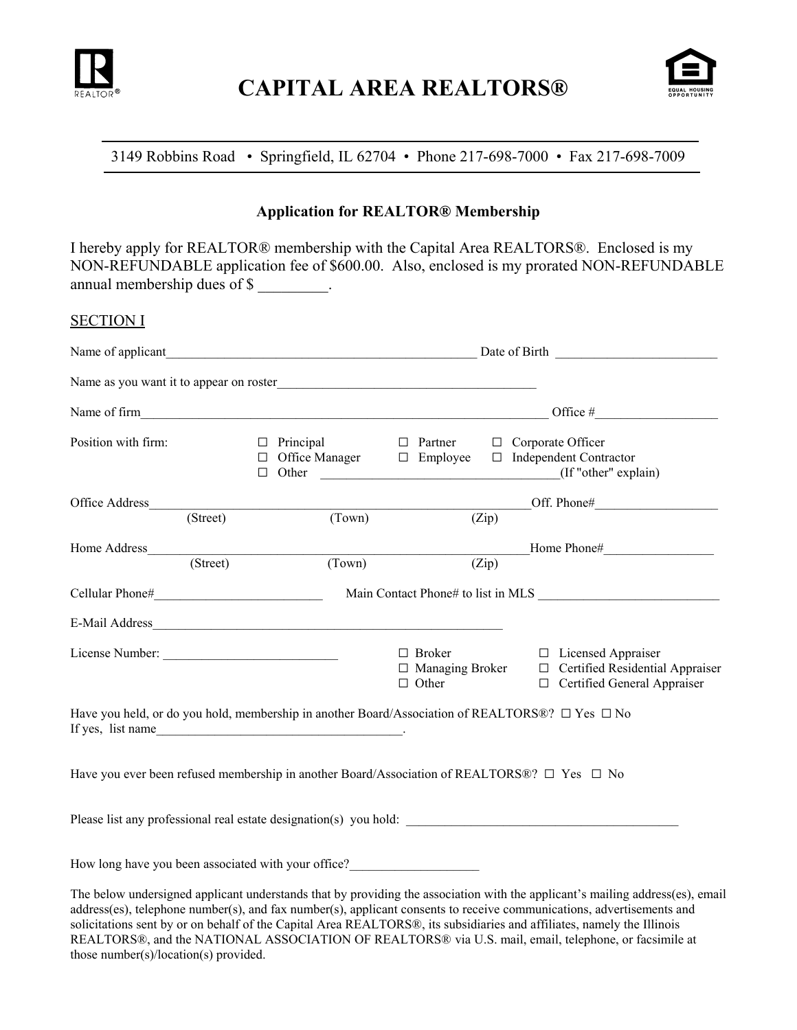



# 3149 Robbins Road • Springfield, IL 62704 • Phone 217-698-7000 • Fax 217-698-7009

## **Application for REALTOR® Membership**

I hereby apply for REALTOR® membership with the Capital Area REALTORS®. Enclosed is my NON-REFUNDABLE application fee of \$600.00. Also, enclosed is my prorated NON-REFUNDABLE annual membership dues of \$

### SECTION I

| Name of applicant                                                                |          |                                                             |        | $\frac{1}{2}$ Date of Birth                             |       |                                                                                                                              |  |  |  |  |
|----------------------------------------------------------------------------------|----------|-------------------------------------------------------------|--------|---------------------------------------------------------|-------|------------------------------------------------------------------------------------------------------------------------------|--|--|--|--|
|                                                                                  |          |                                                             |        |                                                         |       |                                                                                                                              |  |  |  |  |
| Name of firm                                                                     |          |                                                             |        |                                                         |       |                                                                                                                              |  |  |  |  |
| Position with firm:                                                              |          | $\Box$ Principal<br>Office Manager<br>П.<br>Other<br>$\Box$ |        | $\Box$ Partner<br>$\Box$ Employee                       |       | □ Corporate Officer<br>$\Box$ Independent Contractor<br>(If "other" explain)                                                 |  |  |  |  |
| Office Address                                                                   |          |                                                             |        |                                                         |       | Off. Phone#                                                                                                                  |  |  |  |  |
|                                                                                  | (Street) |                                                             | (Town) |                                                         | (Zip) |                                                                                                                              |  |  |  |  |
|                                                                                  |          |                                                             |        |                                                         |       | Home Phone#                                                                                                                  |  |  |  |  |
|                                                                                  | (Street) | (Town)                                                      |        |                                                         | (Zip) |                                                                                                                              |  |  |  |  |
|                                                                                  |          |                                                             |        |                                                         |       |                                                                                                                              |  |  |  |  |
|                                                                                  |          |                                                             |        |                                                         |       |                                                                                                                              |  |  |  |  |
| License Number:                                                                  |          |                                                             |        | $\Box$ Broker<br>$\Box$ Managing Broker<br>$\Box$ Other |       | □ Licensed Appraiser<br>□ Certified Residential Appraiser<br>□ Certified General Appraiser                                   |  |  |  |  |
| If yes, list name                                                                |          |                                                             |        |                                                         |       | Have you held, or do you hold, membership in another Board/Association of REALTORS®? $\Box$ Yes $\Box$ No                    |  |  |  |  |
|                                                                                  |          |                                                             |        |                                                         |       | Have you ever been refused membership in another Board/Association of REALTORS®? $\Box$ Yes $\Box$ No                        |  |  |  |  |
|                                                                                  |          |                                                             |        |                                                         |       |                                                                                                                              |  |  |  |  |
| How long have you been associated with your office?_____________________________ |          |                                                             |        |                                                         |       |                                                                                                                              |  |  |  |  |
|                                                                                  |          |                                                             |        |                                                         |       | The below undersigned applicant understands that by providing the association with the applicant's mailing address(es) email |  |  |  |  |

The below undersigned applicant understands that by providing the association with the applicant's mailing address(es), email address(es), telephone number(s), and fax number(s), applicant consents to receive communications, advertisements and solicitations sent by or on behalf of the Capital Area REALTORS®, its subsidiaries and affiliates, namely the Illinois REALTORS®, and the NATIONAL ASSOCIATION OF REALTORS® via U.S. mail, email, telephone, or facsimile at those number(s)/location(s) provided.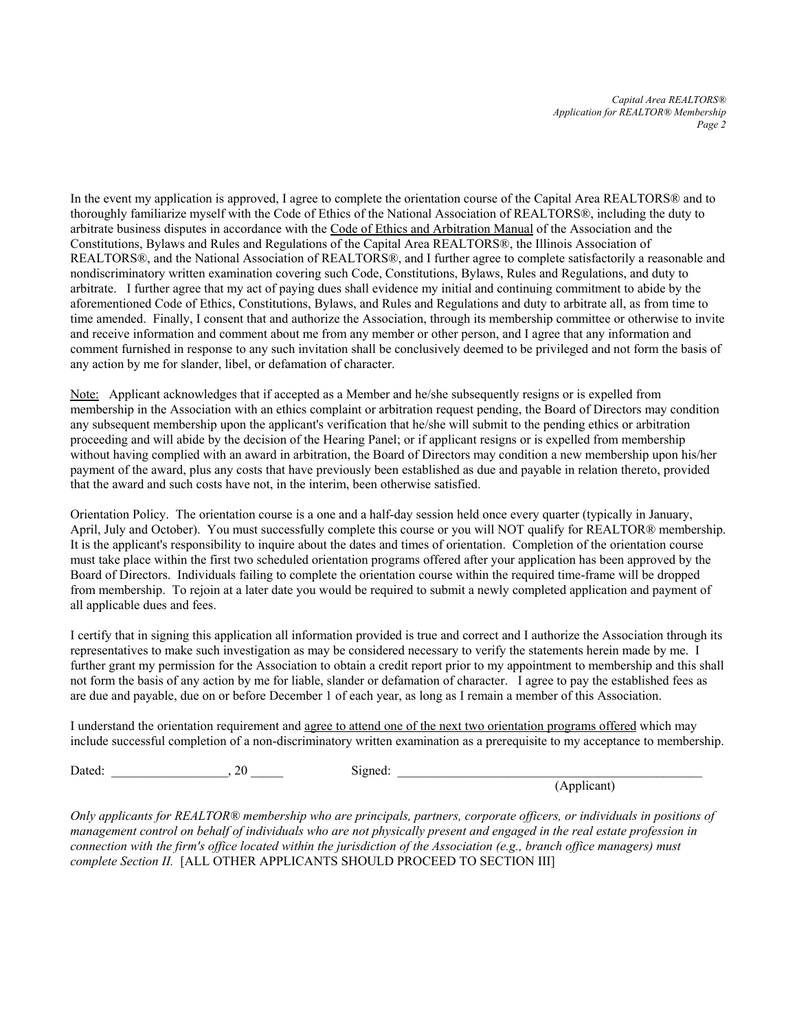*Capital Area REALTORS® Application for REALTOR® Membership Page 2*

In the event my application is approved, I agree to complete the orientation course of the Capital Area REALTORS® and to thoroughly familiarize myself with the Code of Ethics of the National Association of REALTORS®, including the duty to arbitrate business disputes in accordance with the Code of Ethics and Arbitration Manual of the Association and the Constitutions, Bylaws and Rules and Regulations of the Capital Area REALTORS®, the Illinois Association of REALTORS®, and the National Association of REALTORS®, and I further agree to complete satisfactorily a reasonable and nondiscriminatory written examination covering such Code, Constitutions, Bylaws, Rules and Regulations, and duty to arbitrate. I further agree that my act of paying dues shall evidence my initial and continuing commitment to abide by the aforementioned Code of Ethics, Constitutions, Bylaws, and Rules and Regulations and duty to arbitrate all, as from time to time amended. Finally, I consent that and authorize the Association, through its membership committee or otherwise to invite and receive information and comment about me from any member or other person, and I agree that any information and comment furnished in response to any such invitation shall be conclusively deemed to be privileged and not form the basis of any action by me for slander, libel, or defamation of character.

Note: Applicant acknowledges that if accepted as a Member and he/she subsequently resigns or is expelled from membership in the Association with an ethics complaint or arbitration request pending, the Board of Directors may condition any subsequent membership upon the applicant's verification that he/she will submit to the pending ethics or arbitration proceeding and will abide by the decision of the Hearing Panel; or if applicant resigns or is expelled from membership without having complied with an award in arbitration, the Board of Directors may condition a new membership upon his/her payment of the award, plus any costs that have previously been established as due and payable in relation thereto, provided that the award and such costs have not, in the interim, been otherwise satisfied.

Orientation Policy. The orientation course is a one and a half-day session held once every quarter (typically in January, April, July and October). You must successfully complete this course or you will NOT qualify for REALTOR® membership. It is the applicant's responsibility to inquire about the dates and times of orientation. Completion of the orientation course must take place within the first two scheduled orientation programs offered after your application has been approved by the Board of Directors. Individuals failing to complete the orientation course within the required time-frame will be dropped from membership. To rejoin at a later date you would be required to submit a newly completed application and payment of all applicable dues and fees.

I certify that in signing this application all information provided is true and correct and I authorize the Association through its representatives to make such investigation as may be considered necessary to verify the statements herein made by me. I further grant my permission for the Association to obtain a credit report prior to my appointment to membership and this shall not form the basis of any action by me for liable, slander or defamation of character. I agree to pay the established fees as are due and payable, due on or before December 1 of each year, as long as I remain a member of this Association.

I understand the orientation requirement and agree to attend one of the next two orientation programs offered which may include successful completion of a non-discriminatory written examination as a prerequisite to my acceptance to membership.

Dated: \_\_\_\_\_\_\_\_\_\_\_\_\_\_\_\_\_\_, 20 \_\_\_\_\_ Signed: \_\_\_\_\_\_\_\_\_\_\_\_\_\_\_\_\_\_\_\_\_\_\_\_\_\_\_\_\_\_\_\_\_\_\_\_\_\_\_\_\_\_\_\_\_\_\_

(Applicant)

*Only applicants for REALTOR® membership who are principals, partners, corporate officers, or individuals in positions of management control on behalf of individuals who are not physically present and engaged in the real estate profession in connection with the firm's office located within the jurisdiction of the Association (e.g., branch office managers) must complete Section II.* [ALL OTHER APPLICANTS SHOULD PROCEED TO SECTION III]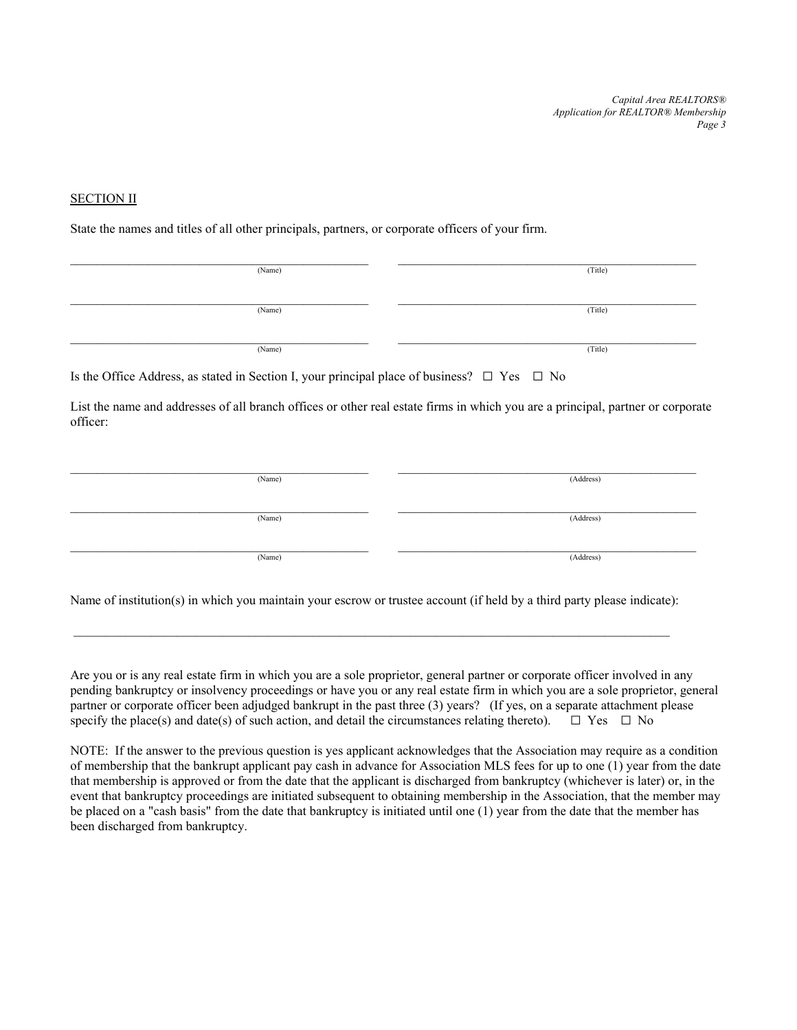*Capital Area REALTORS® Application for REALTOR® Membership Page 3*

#### SECTION II

State the names and titles of all other principals, partners, or corporate officers of your firm.

| (Name) | (Title) |
|--------|---------|
|        |         |
| (Name) | (Title) |
|        |         |
| (Name) | (Title) |

Is the Office Address, as stated in Section I, your principal place of business?  $\Box$  Yes  $\Box$  No

List the name and addresses of all branch offices or other real estate firms in which you are a principal, partner or corporate officer:

| (Name) | (Address) |
|--------|-----------|
| (Name) | (Address) |
| (Name) | (Address) |

Name of institution(s) in which you maintain your escrow or trustee account (if held by a third party please indicate):

 $\mathcal{L}_\mathcal{L} = \{ \mathcal{L}_\mathcal{L} = \{ \mathcal{L}_\mathcal{L} = \{ \mathcal{L}_\mathcal{L} = \{ \mathcal{L}_\mathcal{L} = \{ \mathcal{L}_\mathcal{L} = \{ \mathcal{L}_\mathcal{L} = \{ \mathcal{L}_\mathcal{L} = \{ \mathcal{L}_\mathcal{L} = \{ \mathcal{L}_\mathcal{L} = \{ \mathcal{L}_\mathcal{L} = \{ \mathcal{L}_\mathcal{L} = \{ \mathcal{L}_\mathcal{L} = \{ \mathcal{L}_\mathcal{L} = \{ \mathcal{L}_\mathcal{$ 

Are you or is any real estate firm in which you are a sole proprietor, general partner or corporate officer involved in any pending bankruptcy or insolvency proceedings or have you or any real estate firm in which you are a sole proprietor, general partner or corporate officer been adjudged bankrupt in the past three (3) years? (If yes, on a separate attachment please specify the place(s) and date(s) of such action, and detail the circumstances relating thereto).  $\Box$  Yes  $\Box$  No

NOTE: If the answer to the previous question is yes applicant acknowledges that the Association may require as a condition of membership that the bankrupt applicant pay cash in advance for Association MLS fees for up to one (1) year from the date that membership is approved or from the date that the applicant is discharged from bankruptcy (whichever is later) or, in the event that bankruptcy proceedings are initiated subsequent to obtaining membership in the Association, that the member may be placed on a "cash basis" from the date that bankruptcy is initiated until one (1) year from the date that the member has been discharged from bankruptcy.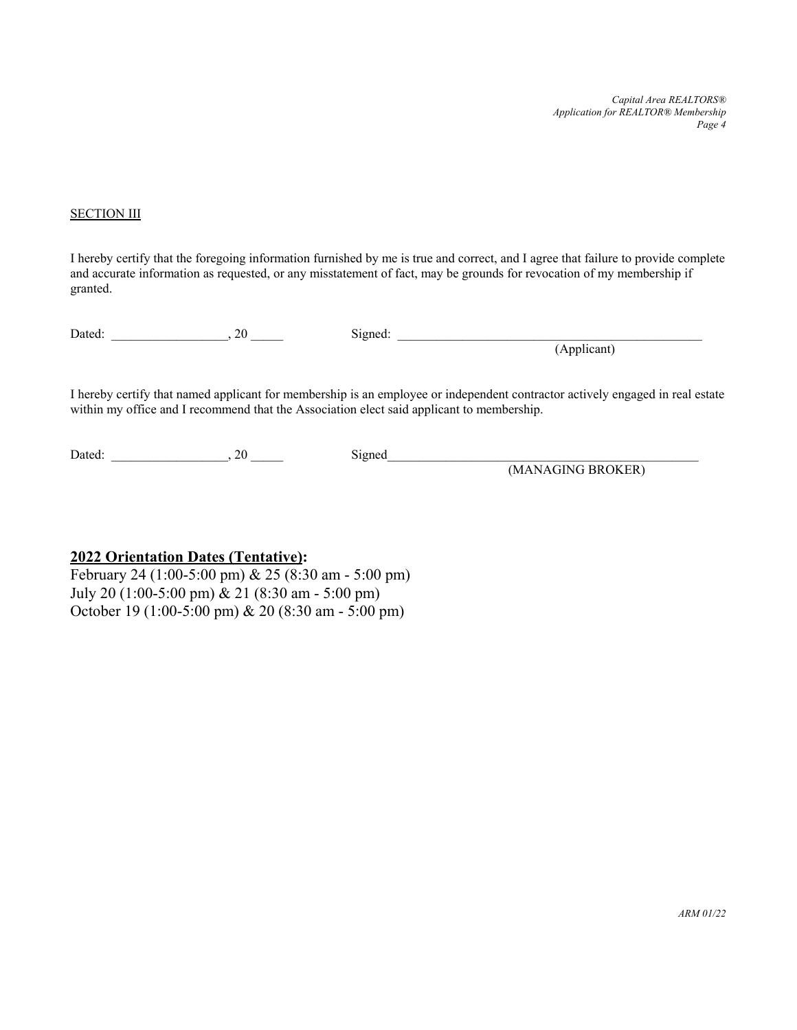*Capital Area REALTORS® Application for REALTOR® Membership Page 4*

#### **SECTION III**

I hereby certify that the foregoing information furnished by me is true and correct, and I agree that failure to provide complete and accurate information as requested, or any misstatement of fact, may be grounds for revocation of my membership if granted.

 $Dated:$   $20$   $Signed:$ 

(Applicant)

I hereby certify that named applicant for membership is an employee or independent contractor actively engaged in real estate within my office and I recommend that the Association elect said applicant to membership.

Dated:  $20 \qquad \qquad$  Signed

(MANAGING BROKER)

### **2022 Orientation Dates (Tentative):**

February 24 (1:00-5:00 pm) & 25 (8:30 am - 5:00 pm) July 20 (1:00-5:00 pm) & 21 (8:30 am - 5:00 pm) October 19 (1:00-5:00 pm) & 20 (8:30 am - 5:00 pm)